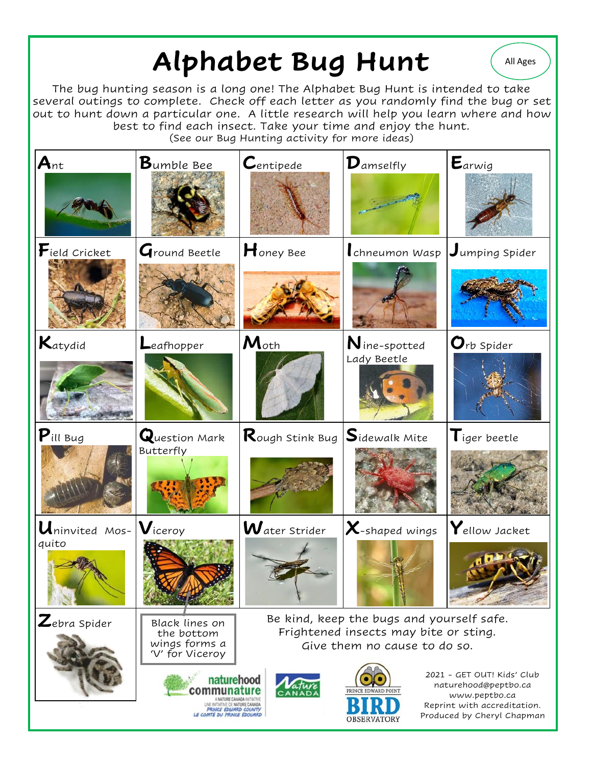## Alphabet Bug Hunt (All Ages

The bug hunting season is a long one! The Alphabet Bug Hunt is intended to take several outings to complete. Check off each letter as you randomly find the bug or set out to hunt down a particular one. A little research will help you learn where and how best to find each insect. Take your time and enjoy the hunt.

(See our Bug Hunting activity for more ideas)

| $A_{nt}$                                                | $\mathbf B$ umble Bee                                                                                                                              | $\mathcal C$ entipede                                                                                                                                                                                                           | $\mathbf{D}_{\mathsf{amselfly}}$ | $E_{arwig}$                             |
|---------------------------------------------------------|----------------------------------------------------------------------------------------------------------------------------------------------------|---------------------------------------------------------------------------------------------------------------------------------------------------------------------------------------------------------------------------------|----------------------------------|-----------------------------------------|
| $\mathbf{F}$ ield Cricket                               | Ground Beetle                                                                                                                                      | $H$ oney Bee                                                                                                                                                                                                                    | chneumon Wasp                    | $J$ umping Spider                       |
| Katydid                                                 | Leafhopper                                                                                                                                         | $M_{\text{oth}}$                                                                                                                                                                                                                | $N$ ine-spotted<br>Lady Beetle   | $\mathbf{O}$ rb Spider                  |
| $P$ ill Bug                                             | Question Mark<br>Butterfly                                                                                                                         | $\mathsf{R}$ ough Stink Bug $ \mathsf{S}$ idewalk Mite                                                                                                                                                                          |                                  | $\mathsf{T}_{\mathsf{i}}$ ger beetle    |
| $\mathbf{U}$ ninvited Mos- $\mathbf{V}$ iceroy<br>quito |                                                                                                                                                    | $\boldsymbol{W}$ ater Strider                                                                                                                                                                                                   | $\bm{\chi}$ -shaped wings        | $ {\mathbf Y}_{\mathsf{ellow}} $ Jacket |
| $\mathbf{Z}$ ebra Spider                                | Black lines on<br>the bottom<br>wings forms a<br>'V' for Viceroy<br>naturehood<br>commur<br>A NATURE CANADA INTIATIVE                              | Be kind, keep the bugs and yourself safe.<br>Frightened insects may bite or sting.<br>Give them no cause to do so.<br>2021 - GET OUT! Kids' Club<br>naturehood@peptbo.ca<br>PRINCE EDWARD POINT<br><b>ANAD</b><br>www.peptbo.ca |                                  |                                         |
|                                                         | UNE INITIATIVE DE NATURE CANADA<br>Reprint with accreditation.<br>PRINCE EDWARD COUNTY<br>LE COMTÉ DU PRINCE ÉDOUARD<br>Produced by Cheryl Chapman |                                                                                                                                                                                                                                 |                                  |                                         |